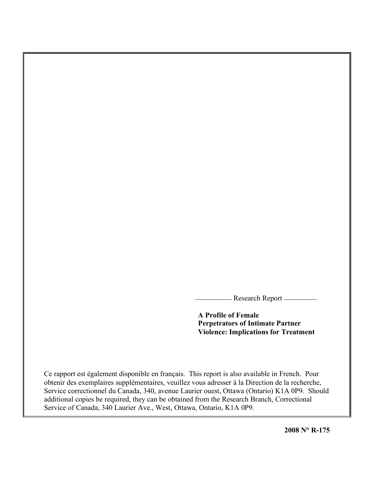- Research Report \_\_\_\_\_\_\_\_\_

**A Profile of Female Perpetrators of Intimate Partner Violence: Implications for Treatment**

Ce rapport est également disponible en français. This report is also available in French. Pour obtenir des exemplaires supplémentaires, veuillez vous adresser à la Direction de la recherche, Service correctionnel du Canada, 340, avenue Laurier ouest, Ottawa (Ontario) K1A 0P9. Should additional copies be required, they can be obtained from the Research Branch, Correctional Service of Canada, 340 Laurier Ave., West, Ottawa, Ontario, K1A 0P9.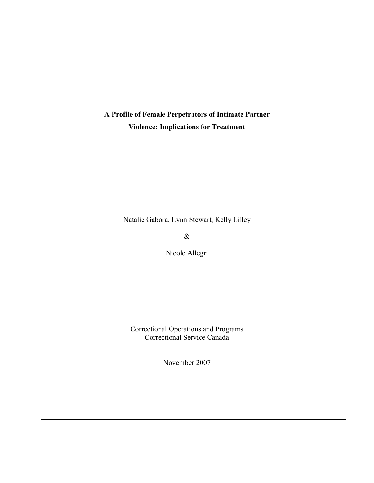

Natalie Gabora, Lynn Stewart, Kelly Lilley

 $\&$ 

Nicole Allegri

Correctional Operations and Programs Correctional Service Canada

November 2007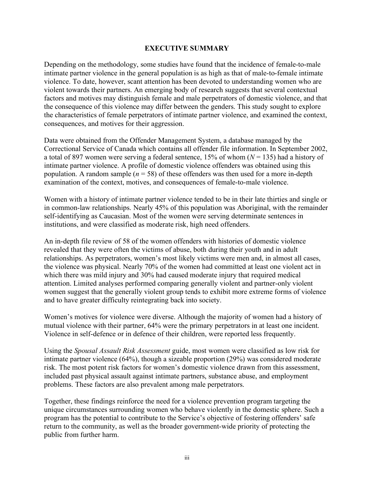### **EXECUTIVE SUMMARY**

Depending on the methodology, some studies have found that the incidence of female-to-male intimate partner violence in the general population is as high as that of male-to-female intimate violence. To date, however, scant attention has been devoted to understanding women who are violent towards their partners. An emerging body of research suggests that several contextual factors and motives may distinguish female and male perpetrators of domestic violence, and that the consequence of this violence may differ between the genders. This study sought to explore the characteristics of female perpetrators of intimate partner violence, and examined the context, consequences, and motives for their aggression.

Data were obtained from the Offender Management System, a database managed by the Correctional Service of Canada which contains all offender file information. In September 2002, a total of 897 women were serving a federal sentence,  $15\%$  of whom  $(N = 135)$  had a history of intimate partner violence. A profile of domestic violence offenders was obtained using this population. A random sample ( $n = 58$ ) of these offenders was then used for a more in-depth examination of the context, motives, and consequences of female-to-male violence.

Women with a history of intimate partner violence tended to be in their late thirties and single or in common-law relationships. Nearly 45% of this population was Aboriginal, with the remainder self-identifying as Caucasian. Most of the women were serving determinate sentences in institutions, and were classified as moderate risk, high need offenders.

An in-depth file review of 58 of the women offenders with histories of domestic violence revealed that they were often the victims of abuse, both during their youth and in adult relationships. As perpetrators, women's most likely victims were men and, in almost all cases, the violence was physical. Nearly 70% of the women had committed at least one violent act in which there was mild injury and 30% had caused moderate injury that required medical attention. Limited analyses performed comparing generally violent and partner-only violent women suggest that the generally violent group tends to exhibit more extreme forms of violence and to have greater difficulty reintegrating back into society.

Women's motives for violence were diverse. Although the majority of women had a history of mutual violence with their partner, 64% were the primary perpetrators in at least one incident. Violence in self-defence or in defence of their children, were reported less frequently.

Using the *Spousal Assault Risk Assessment* guide, most women were classified as low risk for intimate partner violence (64%), though a sizeable proportion (29%) was considered moderate risk. The most potent risk factors for women's domestic violence drawn from this assessment, included past physical assault against intimate partners, substance abuse, and employment problems. These factors are also prevalent among male perpetrators.

Together, these findings reinforce the need for a violence prevention program targeting the unique circumstances surrounding women who behave violently in the domestic sphere. Such a program has the potential to contribute to the Service's objective of fostering offenders' safe return to the community, as well as the broader government-wide priority of protecting the public from further harm.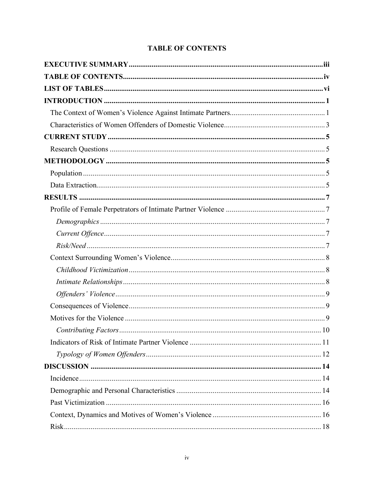# **TABLE OF CONTENTS**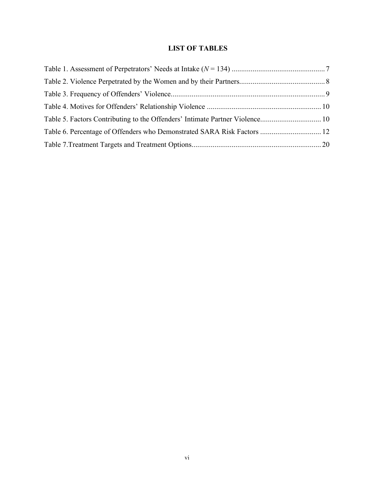# **LIST OF TABLES**

| Table 5. Factors Contributing to the Offenders' Intimate Partner Violence 10 |  |
|------------------------------------------------------------------------------|--|
| Table 6. Percentage of Offenders who Demonstrated SARA Risk Factors  12      |  |
|                                                                              |  |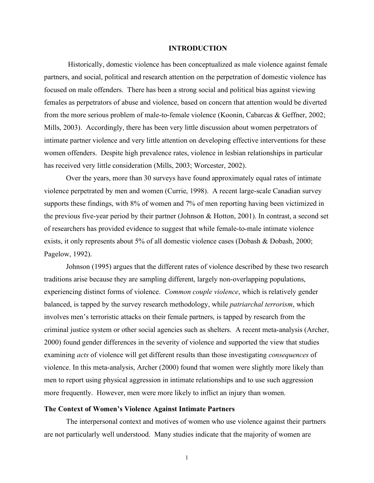#### **INTRODUCTION**

Historically, domestic violence has been conceptualized as male violence against female partners, and social, political and research attention on the perpetration of domestic violence has focused on male offenders. There has been a strong social and political bias against viewing females as perpetrators of abuse and violence, based on concern that attention would be diverted from the more serious problem of male-to-female violence (Koonin, Cabarcas & Geffner, 2002; Mills, 2003). Accordingly, there has been very little discussion about women perpetrators of intimate partner violence and very little attention on developing effective interventions for these women offenders. Despite high prevalence rates, violence in lesbian relationships in particular has received very little consideration (Mills, 2003; Worcester, 2002).

Over the years, more than 30 surveys have found approximately equal rates of intimate violence perpetrated by men and women (Currie, 1998). A recent large-scale Canadian survey supports these findings, with 8% of women and 7% of men reporting having been victimized in the previous five-year period by their partner (Johnson & Hotton, 2001). In contrast, a second set of researchers has provided evidence to suggest that while female-to-male intimate violence exists, it only represents about 5% of all domestic violence cases (Dobash & Dobash, 2000; Pagelow, 1992).

Johnson (1995) argues that the different rates of violence described by these two research traditions arise because they are sampling different, largely non-overlapping populations, experiencing distinct forms of violence. *Common couple violence*, which is relatively gender balanced, is tapped by the survey research methodology, while *patriarchal terrorism*, which involves men's terroristic attacks on their female partners, is tapped by research from the criminal justice system or other social agencies such as shelters. A recent meta-analysis (Archer, 2000) found gender differences in the severity of violence and supported the view that studies examining *acts* of violence will get different results than those investigating *consequences* of violence. In this meta-analysis, Archer (2000) found that women were slightly more likely than men to report using physical aggression in intimate relationships and to use such aggression more frequently. However, men were more likely to inflict an injury than women.

#### **The Context of Women's Violence Against Intimate Partners**

The interpersonal context and motives of women who use violence against their partners are not particularly well understood. Many studies indicate that the majority of women are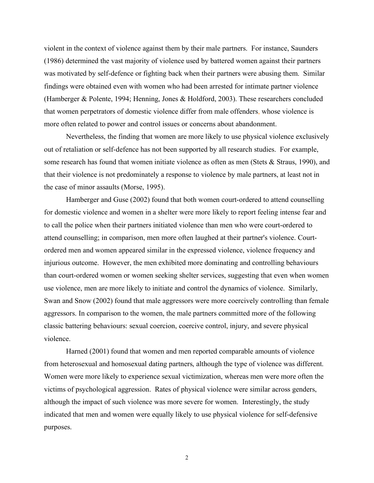violent in the context of violence against them by their male partners. For instance, Saunders (1986) determined the vast majority of violence used by battered women against their partners was motivated by self-defence or fighting back when their partners were abusing them. Similar findings were obtained even with women who had been arrested for intimate partner violence (Hamberger & Polente, 1994; Henning, Jones & Holdford, 2003). These researchers concluded that women perpetrators of domestic violence differ from male offenders, whose violence is more often related to power and control issues or concerns about abandonment.

Nevertheless, the finding that women are more likely to use physical violence exclusively out of retaliation or self-defence has not been supported by all research studies. For example, some research has found that women initiate violence as often as men (Stets & Straus, 1990), and that their violence is not predominately a response to violence by male partners, at least not in the case of minor assaults (Morse, 1995).

Hamberger and Guse (2002) found that both women court-ordered to attend counselling for domestic violence and women in a shelter were more likely to report feeling intense fear and to call the police when their partners initiated violence than men who were court-ordered to attend counselling; in comparison, men more often laughed at their partner's violence. Courtordered men and women appeared similar in the expressed violence, violence frequency and injurious outcome. However, the men exhibited more dominating and controlling behaviours than court-ordered women or women seeking shelter services, suggesting that even when women use violence, men are more likely to initiate and control the dynamics of violence. Similarly, Swan and Snow (2002) found that male aggressors were more coercively controlling than female aggressors. In comparison to the women, the male partners committed more of the following classic battering behaviours: sexual coercion, coercive control, injury, and severe physical violence.

Harned (2001) found that women and men reported comparable amounts of violence from heterosexual and homosexual dating partners, although the type of violence was different. Women were more likely to experience sexual victimization, whereas men were more often the victims of psychological aggression. Rates of physical violence were similar across genders, although the impact of such violence was more severe for women. Interestingly, the study indicated that men and women were equally likely to use physical violence for self-defensive purposes.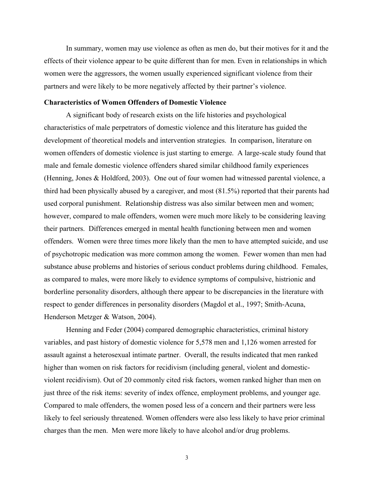In summary, women may use violence as often as men do, but their motives for it and the effects of their violence appear to be quite different than for men. Even in relationships in which women were the aggressors, the women usually experienced significant violence from their partners and were likely to be more negatively affected by their partner's violence.

#### **Characteristics of Women Offenders of Domestic Violence**

A significant body of research exists on the life histories and psychological characteristics of male perpetrators of domestic violence and this literature has guided the development of theoretical models and intervention strategies. In comparison, literature on women offenders of domestic violence is just starting to emerge. A large-scale study found that male and female domestic violence offenders shared similar childhood family experiences (Henning, Jones & Holdford, 2003). One out of four women had witnessed parental violence, a third had been physically abused by a caregiver, and most (81.5%) reported that their parents had used corporal punishment. Relationship distress was also similar between men and women; however, compared to male offenders, women were much more likely to be considering leaving their partners. Differences emerged in mental health functioning between men and women offenders. Women were three times more likely than the men to have attempted suicide, and use of psychotropic medication was more common among the women. Fewer women than men had substance abuse problems and histories of serious conduct problems during childhood. Females, as compared to males, were more likely to evidence symptoms of compulsive, histrionic and borderline personality disorders, although there appear to be discrepancies in the literature with respect to gender differences in personality disorders (Magdol et al., 1997; Smith-Acuna, Henderson Metzger & Watson, 2004).

Henning and Feder (2004) compared demographic characteristics, criminal history variables, and past history of domestic violence for 5,578 men and 1,126 women arrested for assault against a heterosexual intimate partner. Overall, the results indicated that men ranked higher than women on risk factors for recidivism (including general, violent and domesticviolent recidivism). Out of 20 commonly cited risk factors, women ranked higher than men on just three of the risk items: severity of index offence, employment problems, and younger age. Compared to male offenders, the women posed less of a concern and their partners were less likely to feel seriously threatened. Women offenders were also less likely to have prior criminal charges than the men. Men were more likely to have alcohol and/or drug problems.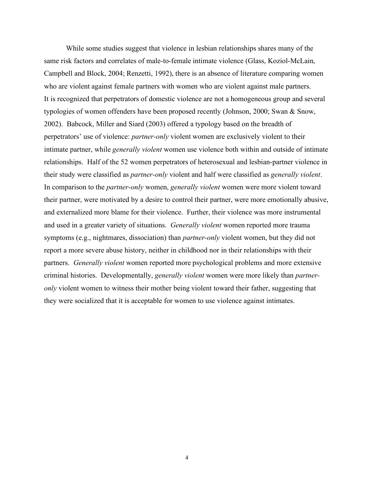While some studies suggest that violence in lesbian relationships shares many of the same risk factors and correlates of male-to-female intimate violence (Glass, Koziol-McLain, Campbell and Block, 2004; Renzetti, 1992), there is an absence of literature comparing women who are violent against female partners with women who are violent against male partners. It is recognized that perpetrators of domestic violence are not a homogeneous group and several typologies of women offenders have been proposed recently (Johnson, 2000; Swan & Snow, 2002). Babcock, Miller and Siard (2003) offered a typology based on the breadth of perpetrators' use of violence: *partner-only* violent women are exclusively violent to their intimate partner, while *generally violent* women use violence both within and outside of intimate relationships. Half of the 52 women perpetrators of heterosexual and lesbian-partner violence in their study were classified as *partner-only* violent and half were classified as *generally violent*. In comparison to the *partner-only* women, *generally violent* women were more violent toward their partner, were motivated by a desire to control their partner, were more emotionally abusive, and externalized more blame for their violence. Further, their violence was more instrumental and used in a greater variety of situations. *Generally violent* women reported more trauma symptoms (e.g., nightmares, dissociation) than *partner-only* violent women, but they did not report a more severe abuse history, neither in childhood nor in their relationships with their partners. *Generally violent* women reported more psychological problems and more extensive criminal histories. Developmentally, *generally violent* women were more likely than *partneronly* violent women to witness their mother being violent toward their father, suggesting that they were socialized that it is acceptable for women to use violence against intimates.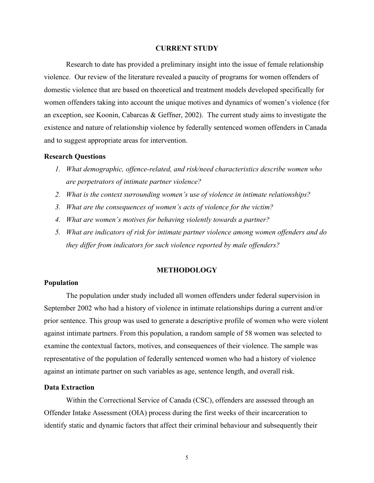#### **CURRENT STUDY**

Research to date has provided a preliminary insight into the issue of female relationship violence. Our review of the literature revealed a paucity of programs for women offenders of domestic violence that are based on theoretical and treatment models developed specifically for women offenders taking into account the unique motives and dynamics of women's violence (for an exception, see Koonin, Cabarcas & Geffner, 2002). The current study aims to investigate the existence and nature of relationship violence by federally sentenced women offenders in Canada and to suggest appropriate areas for intervention.

#### **Research Questions**

- *1. What demographic, offence-related, and risk/need characteristics describe women who are perpetrators of intimate partner violence?*
- *2. What is the context surrounding women's use of violence in intimate relationships?*
- *3. What are the consequences of women's acts of violence for the victim?*
- *4. What are women's motives for behaving violently towards a partner?*
- *5. What are indicators of risk for intimate partner violence among women offenders and do they differ from indicators for such violence reported by male offenders?*

#### **METHODOLOGY**

#### **Population**

The population under study included all women offenders under federal supervision in September 2002 who had a history of violence in intimate relationships during a current and/or prior sentence. This group was used to generate a descriptive profile of women who were violent against intimate partners. From this population, a random sample of 58 women was selected to examine the contextual factors, motives, and consequences of their violence. The sample was representative of the population of federally sentenced women who had a history of violence against an intimate partner on such variables as age, sentence length, and overall risk.

# **Data Extraction**

Within the Correctional Service of Canada (CSC), offenders are assessed through an Offender Intake Assessment (OIA) process during the first weeks of their incarceration to identify static and dynamic factors that affect their criminal behaviour and subsequently their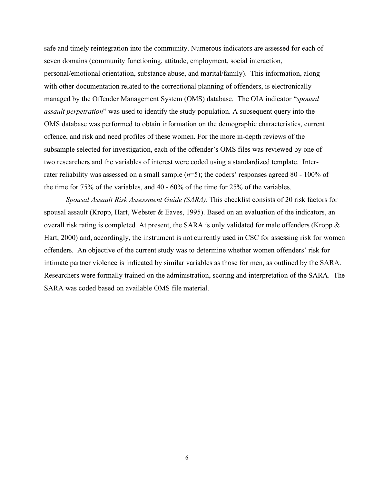safe and timely reintegration into the community. Numerous indicators are assessed for each of seven domains (community functioning, attitude, employment, social interaction, personal/emotional orientation, substance abuse, and marital/family). This information, along with other documentation related to the correctional planning of offenders, is electronically managed by the Offender Management System (OMS) database. The OIA indicator "*spousal assault perpetration*" was used to identify the study population. A subsequent query into the OMS database was performed to obtain information on the demographic characteristics, current offence, and risk and need profiles of these women. For the more in-depth reviews of the subsample selected for investigation, each of the offender's OMS files was reviewed by one of two researchers and the variables of interest were coded using a standardized template. Interrater reliability was assessed on a small sample (*n*=5); the coders' responses agreed 80 - 100% of the time for 75% of the variables, and 40 - 60% of the time for 25% of the variables.

*Spousal Assault Risk Assessment Guide (SARA)*. This checklist consists of 20 risk factors for spousal assault (Kropp, Hart, Webster & Eaves, 1995). Based on an evaluation of the indicators, an overall risk rating is completed. At present, the SARA is only validated for male offenders (Kropp & Hart, 2000) and, accordingly, the instrument is not currently used in CSC for assessing risk for women offenders. An objective of the current study was to determine whether women offenders' risk for intimate partner violence is indicated by similar variables as those for men, as outlined by the SARA. Researchers were formally trained on the administration, scoring and interpretation of the SARA. The SARA was coded based on available OMS file material.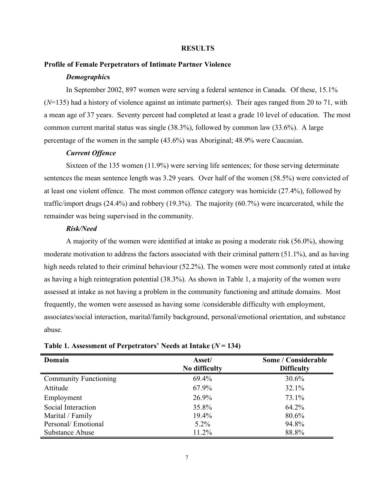#### **RESULTS**

#### **Profile of Female Perpetrators of Intimate Partner Violence**

#### *Demographic***s**

In September 2002, 897 women were serving a federal sentence in Canada. Of these, 15.1% (*N*=135) had a history of violence against an intimate partner(s). Their ages ranged from 20 to 71, with a mean age of 37 years. Seventy percent had completed at least a grade 10 level of education. The most common current marital status was single (38.3%), followed by common law (33.6%). A large percentage of the women in the sample (43.6%) was Aboriginal; 48.9% were Caucasian.

#### *Current Offence*

Sixteen of the 135 women (11.9%) were serving life sentences; for those serving determinate sentences the mean sentence length was 3.29 years. Over half of the women (58.5%) were convicted of at least one violent offence. The most common offence category was homicide (27.4%), followed by traffic/import drugs (24.4%) and robbery (19.3%). The majority (60.7%) were incarcerated, while the remainder was being supervised in the community.

#### *Risk/Need*

A majority of the women were identified at intake as posing a moderate risk (56.0%), showing moderate motivation to address the factors associated with their criminal pattern (51.1%), and as having high needs related to their criminal behaviour (52.2%). The women were most commonly rated at intake as having a high reintegration potential (38.3%). As shown in Table 1, a majority of the women were assessed at intake as not having a problem in the community functioning and attitude domains. Most frequently, the women were assessed as having some /considerable difficulty with employment, associates/social interaction, marital/family background, personal/emotional orientation, and substance abuse.

| Domain                       | Some / Considerable<br>Asset/ |                   |
|------------------------------|-------------------------------|-------------------|
|                              | No difficulty                 | <b>Difficulty</b> |
| <b>Community Functioning</b> | 69.4%                         | 30.6%             |
| Attitude                     | 67.9%                         | 32.1%             |
| Employment                   | 26.9%                         | 73.1%             |
| Social Interaction           | 35.8%                         | 64.2%             |
| Marital / Family             | 19.4%                         | 80.6%             |
| Personal/Emotional           | $5.2\%$                       | 94.8%             |
| Substance Abuse              | 11.2%                         | 88.8%             |

**Table 1. Assessment of Perpetrators' Needs at Intake (***N* **= 134)**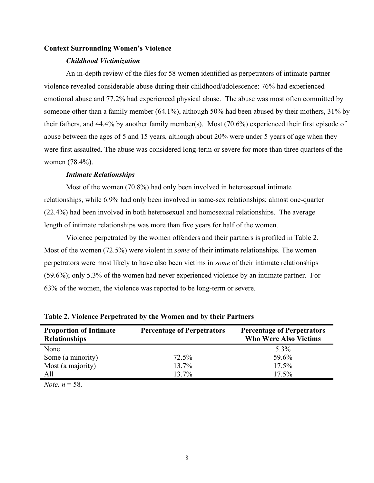#### **Context Surrounding Women's Violence**

#### *Childhood Victimization*

An in-depth review of the files for 58 women identified as perpetrators of intimate partner violence revealed considerable abuse during their childhood/adolescence: 76% had experienced emotional abuse and 77.2% had experienced physical abuse. The abuse was most often committed by someone other than a family member (64.1%), although 50% had been abused by their mothers, 31% by their fathers, and 44.4% by another family member(s). Most (70.6%) experienced their first episode of abuse between the ages of 5 and 15 years, although about 20% were under 5 years of age when they were first assaulted. The abuse was considered long-term or severe for more than three quarters of the women (78.4%).

#### *Intimate Relationships*

Most of the women (70.8%) had only been involved in heterosexual intimate relationships, while 6.9% had only been involved in same-sex relationships; almost one-quarter (22.4%) had been involved in both heterosexual and homosexual relationships. The average length of intimate relationships was more than five years for half of the women.

Violence perpetrated by the women offenders and their partners is profiled in Table 2. Most of the women (72.5%) were violent in *some* of their intimate relationships. The women perpetrators were most likely to have also been victims in *some* of their intimate relationships (59.6%); only 5.3% of the women had never experienced violence by an intimate partner. For 63% of the women, the violence was reported to be long-term or severe.

| <b>Proportion of Intimate</b><br><b>Relationships</b> | <b>Percentage of Perpetrators</b> | <b>Percentage of Perpetrators</b><br><b>Who Were Also Victims</b> |
|-------------------------------------------------------|-----------------------------------|-------------------------------------------------------------------|
| None                                                  |                                   | 5.3%                                                              |
| Some (a minority)                                     | 72.5%                             | 59.6%                                                             |
| Most (a majority)                                     | 13.7%                             | $17.5\%$                                                          |
| All                                                   | 13.7%                             | 17.5%                                                             |

**Table 2. Violence Perpetrated by the Women and by their Partners**

*Note.*  $n = 58$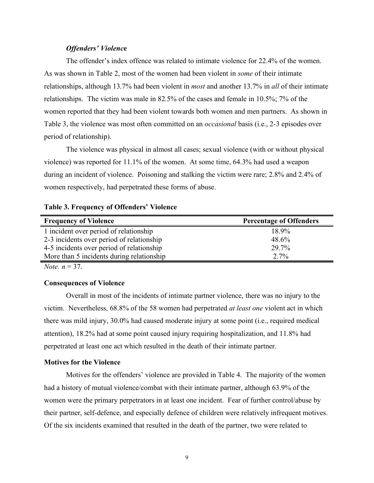#### *Offenders' Violenc***e**

The offender's index offence was related to intimate violence for 22.4% of the women. As was shown in Table 2, most of the women had been violent in *some* of their intimate relationships, although 13.7% had been violent in *most* and another 13.7% in *all* of their intimate relationships. The victim was male in 82.5% of the cases and female in 10.5%; 7% of the women reported that they had been violent towards both women and men partners. As shown in Table 3, the violence was most often committed on an *occasional* basis (i.e., 2-3 episodes over period of relationship).

The violence was physical in almost all cases; sexual violence (with or without physical violence) was reported for 11.1% of the women. At some time, 64.3% had used a weapon during an incident of violence. Poisoning and stalking the victim were rare; 2.8% and 2.4% of women respectively, had perpetrated these forms of abuse.

#### **Table 3. Frequency of Offenders' Violence**

| <b>Frequency of Violence</b>              | <b>Percentage of Offenders</b> |
|-------------------------------------------|--------------------------------|
| 1 incident over period of relationship    | 18.9%                          |
| 2-3 incidents over period of relationship | 48.6%                          |
| 4-5 incidents over period of relationship | 29.7%                          |
| More than 5 incidents during relationship | 2.7%                           |

*Note.*  $n = 37$ 

#### **Consequences of Violence**

Overall in most of the incidents of intimate partner violence, there was no injury to the victim. Nevertheless, 68.8% of the 58 women had perpetrated *at least one* violent act in which there was mild injury, 30.0% had caused moderate injury at some point (i.e., required medical attention), 18.2% had at some point caused injury requiring hospitalization, and 11.8% had perpetrated at least one act which resulted in the death of their intimate partner.

#### **Motives for the Violence**

Motives for the offenders' violence are provided in Table 4. The majority of the women had a history of mutual violence/combat with their intimate partner, although 63.9% of the women were the primary perpetrators in at least one incident. Fear of further control/abuse by their partner, self-defence, and especially defence of children were relatively infrequent motives. Of the six incidents examined that resulted in the death of the partner, two were related to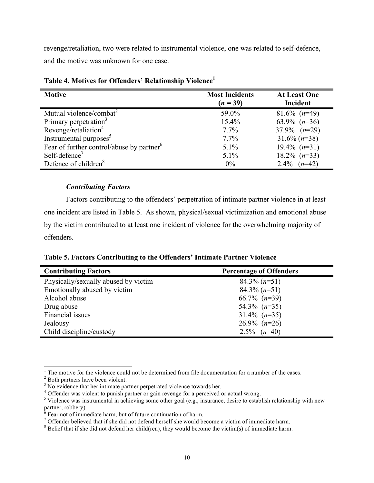revenge/retaliation, two were related to instrumental violence, one was related to self-defence, and the motive was unknown for one case.

| <b>Motive</b>                                         | <b>Most Incidents</b><br>$(n = 39)$ | <b>At Least One</b><br>Incident |
|-------------------------------------------------------|-------------------------------------|---------------------------------|
| Mutual violence/combat <sup>2</sup>                   | 59.0%                               | $81.6\%$ (n=49)                 |
| Primary perpetration <sup>3</sup>                     | 15.4%                               | 63.9% $(n=36)$                  |
| Revenge/retaliation <sup>4</sup>                      | $7.7\%$                             | 37.9% $(n=29)$                  |
| Instrumental purposes <sup>5</sup>                    | $7.7\%$                             | $31.6\%$ (n=38)                 |
| Fear of further control/abuse by partner <sup>6</sup> | $5.1\%$                             | $19.4\%$ $(n=31)$               |
| Self-defence <sup>7</sup>                             | 5.1%                                | $18.2\%$ $(n=33)$               |
| Defence of children <sup>8</sup>                      | 0%                                  | $(n=42)$<br>$2.4\%$             |

**Table 4. Motives for Offenders' Relationship Violence 1**

# *Contributing Factors*

Factors contributing to the offenders' perpetration of intimate partner violence in at least one incident are listed in Table 5. As shown, physical/sexual victimization and emotional abuse by the victim contributed to at least one incident of violence for the overwhelming majority of offenders.

**Table 5. Factors Contributing to the Offenders' Intimate Partner Violence**

| <b>Contributing Factors</b>          | <b>Percentage of Offenders</b> |
|--------------------------------------|--------------------------------|
| Physically/sexually abused by victim | $84.3\%$ (n=51)                |
| Emotionally abused by victim         | $84.3\%$ (n=51)                |
| Alcohol abuse                        | 66.7% $(n=39)$                 |
| Drug abuse                           | 54.3% $(n=35)$                 |
| Financial issues                     | $31.4\%$ (n=35)                |
| Jealousy                             | $26.9\%$ (n=26)                |
| Child discipline/custody             | $2.5\%$ $(n=40)$               |

<sup>&</sup>lt;sup>1</sup> The motive for the violence could not be determined from file documentation for a number of the cases.<br><sup>2</sup> Both partners have been violent.<br><sup>3</sup> No evidence that her intimate partner perpetrated violence towards her.<br><sup></sup>

partner, robbery).<br>  $\delta$  Fear not of immediate harm, but of future continuation of harm.<br>  $\delta$  Offender believed that if she did not defend herself she would become a victim of immediate harm.<br>  $\delta$  Belief that if she did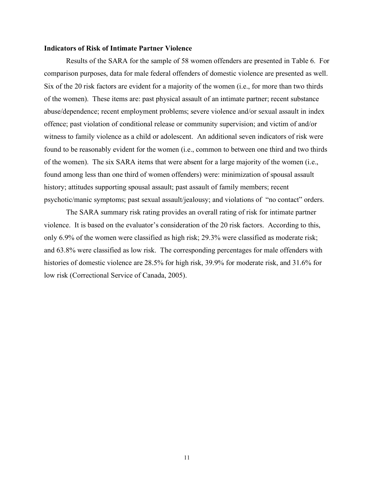#### **Indicators of Risk of Intimate Partner Violence**

Results of the SARA for the sample of 58 women offenders are presented in Table 6. For comparison purposes, data for male federal offenders of domestic violence are presented as well. Six of the 20 risk factors are evident for a majority of the women (i.e., for more than two thirds of the women). These items are: past physical assault of an intimate partner; recent substance abuse/dependence; recent employment problems; severe violence and/or sexual assault in index offence; past violation of conditional release or community supervision; and victim of and/or witness to family violence as a child or adolescent. An additional seven indicators of risk were found to be reasonably evident for the women (i.e., common to between one third and two thirds of the women). The six SARA items that were absent for a large majority of the women (i.e., found among less than one third of women offenders) were: minimization of spousal assault history; attitudes supporting spousal assault; past assault of family members; recent psychotic/manic symptoms; past sexual assault/jealousy; and violations of "no contact" orders.

The SARA summary risk rating provides an overall rating of risk for intimate partner violence. It is based on the evaluator's consideration of the 20 risk factors. According to this, only 6.9% of the women were classified as high risk; 29.3% were classified as moderate risk; and 63.8% were classified as low risk. The corresponding percentages for male offenders with histories of domestic violence are 28.5% for high risk, 39.9% for moderate risk, and 31.6% for low risk (Correctional Service of Canada, 2005).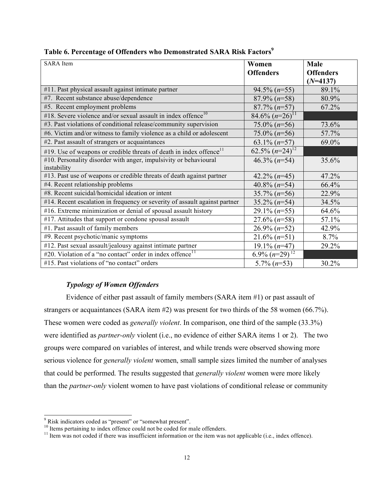| <b>SARA</b> Item                                                                | Women                  | Male             |
|---------------------------------------------------------------------------------|------------------------|------------------|
|                                                                                 | <b>Offenders</b>       | <b>Offenders</b> |
|                                                                                 |                        | $(N=4137)$       |
| #11. Past physical assault against intimate partner                             | $94.5\%$ ( $n=55$ )    | 89.1%            |
| #7. Recent substance abuse/dependence                                           | $87.9\%$ (n=58)        | 80.9%            |
| #5. Recent employment problems                                                  | $87.7\%$ ( $n=57$ )    | 67.2%            |
| #18. Severe violence and/or sexual assault in index offence <sup>10</sup>       | 84.6% $(n=26)^{11}$    |                  |
| #3. Past violations of conditional release/community supervision                | $75.0\%$ (n=56)        | 73.6%            |
| #6. Victim and/or witness to family violence as a child or adolescent           | $75.0\%$ (n=56)        | 57.7%            |
| #2. Past assault of strangers or acquaintances                                  | 63.1% $(n=57)$         | 69.0%            |
| #19. Use of weapons or credible threats of death in index offence <sup>11</sup> | $62.5\%$ $(n=24)^{12}$ |                  |
| #10. Personality disorder with anger, impulsivity or behavioural                | $46.3\%$ (n=54)        | 35.6%            |
| instability                                                                     |                        |                  |
| #13. Past use of weapons or credible threats of death against partner           | $42.2\%$ (n=45)        | 47.2%            |
| #4. Recent relationship problems                                                | 40.8% $(n=54)$         | 66.4%            |
| #8. Recent suicidal/homicidal ideation or intent                                | $35.7\%$ (n=56)        | 22.9%            |
| #14. Recent escalation in frequency or severity of assault against partner      | $35.2\%$ (n=54)        | 34.5%            |
| #16. Extreme minimization or denial of spousal assault history                  | $29.1\%$ (n=55)        | 64.6%            |
| #17. Attitudes that support or condone spousal assault                          | $27.6\%$ (n=58)        | 57.1%            |
| #1. Past assault of family members                                              | $26.9\%$ (n=52)        | 42.9%            |
| #9. Recent psychotic/manic symptoms                                             | $21.6\%$ (n=51)        | 8.7%             |
| #12. Past sexual assault/jealousy against intimate partner                      | $19.1\%$ (n=47)        | 29.2%            |
| #20. Violation of a "no contact" order in index offence $11$                    | 6.9% $(n=29)^{12}$     |                  |
| #15. Past violations of "no contact" orders                                     | $5.7\%$ ( $n=53$ )     | 30.2%            |

# **Table 6. Percentage of Offenders who Demonstrated SARA Risk Factors 9**

# *Typology of Women Offenders*

Evidence of either past assault of family members (SARA item #1) or past assault of strangers or acquaintances (SARA item #2) was present for two thirds of the 58 women (66.7%). These women were coded as *generally violent*. In comparison, one third of the sample (33.3%) were identified as *partner-only* violent (i.e., no evidence of either SARA items 1 or 2). The two groups were compared on variables of interest, and while trends were observed showing more serious violence for *generally violent* women, small sample sizes limited the number of analyses that could be performed. The results suggested that *generally violent* women were more likely than the *partner-only* violent women to have past violations of conditional release or community

<sup>&</sup>lt;sup>9</sup> Risk indicators coded as "present" or "somewhat present".<br><sup>10</sup> Items pertaining to index offence could not be coded for male offenders.<br><sup>11</sup> Item was not coded if there was insufficient information or the item was not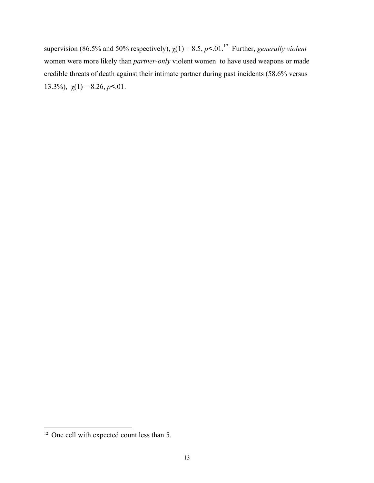supervision (86.5% and 50% respectively),  $\chi(1) = 8.5$ ,  $p < 0.01$ <sup>12</sup> Further, *generally violent* women were more likely than *partner-only* violent women to have used weapons or made credible threats of death against their intimate partner during past incidents (58.6% versus 13.3%),  $\chi(1) = 8.26, p < 01$ .

<sup>&</sup>lt;sup>12</sup> One cell with expected count less than 5.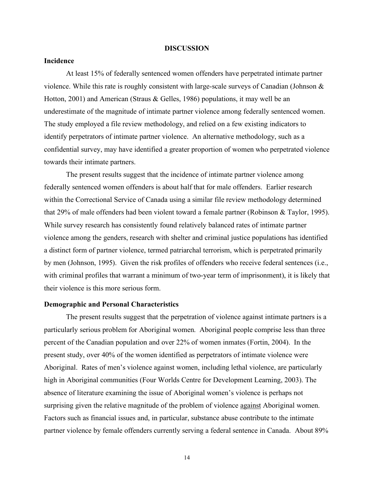#### **DISCUSSION**

#### **Incidence**

At least 15% of federally sentenced women offenders have perpetrated intimate partner violence. While this rate is roughly consistent with large-scale surveys of Canadian (Johnson & Hotton, 2001) and American (Straus & Gelles, 1986) populations, it may well be an underestimate of the magnitude of intimate partner violence among federally sentenced women. The study employed a file review methodology, and relied on a few existing indicators to identify perpetrators of intimate partner violence. An alternative methodology, such as a confidential survey, may have identified a greater proportion of women who perpetrated violence towards their intimate partners.

The present results suggest that the incidence of intimate partner violence among federally sentenced women offenders is about half that for male offenders. Earlier research within the Correctional Service of Canada using a similar file review methodology determined that 29% of male offenders had been violent toward a female partner (Robinson & Taylor, 1995). While survey research has consistently found relatively balanced rates of intimate partner violence among the genders, research with shelter and criminal justice populations has identified a distinct form of partner violence, termed patriarchal terrorism, which is perpetrated primarily by men (Johnson, 1995). Given the risk profiles of offenders who receive federal sentences (i.e., with criminal profiles that warrant a minimum of two-year term of imprisonment), it is likely that their violence is this more serious form.

#### **Demographic and Personal Characteristics**

The present results suggest that the perpetration of violence against intimate partners is a particularly serious problem for Aboriginal women. Aboriginal people comprise less than three percent of the Canadian population and over 22% of women inmates (Fortin, 2004). In the present study, over 40% of the women identified as perpetrators of intimate violence were Aboriginal. Rates of men's violence against women, including lethal violence, are particularly high in Aboriginal communities (Four Worlds Centre for Development Learning, 2003). The absence of literature examining the issue of Aboriginal women's violence is perhaps not surprising given the relative magnitude of the problem of violence against Aboriginal women. Factors such as financial issues and, in particular, substance abuse contribute to the intimate partner violence by female offenders currently serving a federal sentence in Canada. About 89%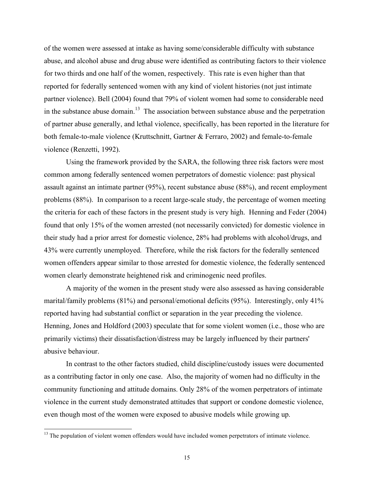of the women were assessed at intake as having some/considerable difficulty with substance abuse, and alcohol abuse and drug abuse were identified as contributing factors to their violence for two thirds and one half of the women, respectively. This rate is even higher than that reported for federally sentenced women with any kind of violent histories (not just intimate partner violence). Bell (2004) found that 79% of violent women had some to considerable need in the substance abuse domain.<sup>13</sup> The association between substance abuse and the perpetration of partner abuse generally, and lethal violence, specifically, has been reported in the literature for both female-to-male violence (Kruttschnitt, Gartner & Ferraro, 2002) and female-to-female violence (Renzetti, 1992).

Using the framework provided by the SARA, the following three risk factors were most common among federally sentenced women perpetrators of domestic violence: past physical assault against an intimate partner (95%), recent substance abuse (88%), and recent employment problems (88%). In comparison to a recent large-scale study, the percentage of women meeting the criteria for each of these factors in the present study is very high. Henning and Feder (2004) found that only 15% of the women arrested (not necessarily convicted) for domestic violence in their study had a prior arrest for domestic violence, 28% had problems with alcohol/drugs, and 43% were currently unemployed. Therefore, while the risk factors for the federally sentenced women offenders appear similar to those arrested for domestic violence, the federally sentenced women clearly demonstrate heightened risk and criminogenic need profiles.

A majority of the women in the present study were also assessed as having considerable marital/family problems (81%) and personal/emotional deficits (95%). Interestingly, only 41% reported having had substantial conflict or separation in the year preceding the violence. Henning, Jones and Holdford (2003) speculate that for some violent women (i.e., those who are primarily victims) their dissatisfaction/distress may be largely influenced by their partners' abusive behaviour.

In contrast to the other factors studied, child discipline/custody issues were documented as a contributing factor in only one case. Also, the majority of women had no difficulty in the community functioning and attitude domains. Only 28% of the women perpetrators of intimate violence in the current study demonstrated attitudes that support or condone domestic violence, even though most of the women were exposed to abusive models while growing up.

 $13$  The population of violent women offenders would have included women perpetrators of intimate violence.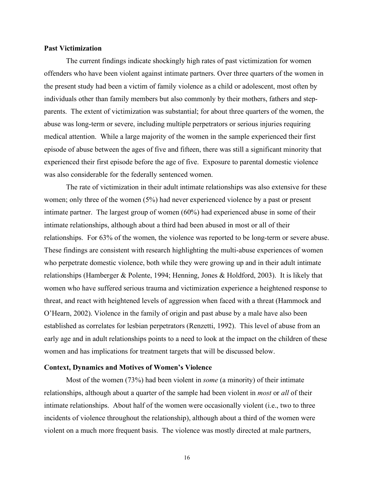#### **Past Victimization**

The current findings indicate shockingly high rates of past victimization for women offenders who have been violent against intimate partners. Over three quarters of the women in the present study had been a victim of family violence as a child or adolescent, most often by individuals other than family members but also commonly by their mothers, fathers and stepparents. The extent of victimization was substantial; for about three quarters of the women, the abuse was long-term or severe, including multiple perpetrators or serious injuries requiring medical attention. While a large majority of the women in the sample experienced their first episode of abuse between the ages of five and fifteen, there was still a significant minority that experienced their first episode before the age of five. Exposure to parental domestic violence was also considerable for the federally sentenced women.

The rate of victimization in their adult intimate relationships was also extensive for these women; only three of the women (5%) had never experienced violence by a past or present intimate partner. The largest group of women (60%) had experienced abuse in some of their intimate relationships, although about a third had been abused in most or all of their relationships. For 63% of the women, the violence was reported to be long-term or severe abuse. These findings are consistent with research highlighting the multi-abuse experiences of women who perpetrate domestic violence, both while they were growing up and in their adult intimate relationships (Hamberger & Polente, 1994; Henning, Jones & Holdford, 2003). It is likely that women who have suffered serious trauma and victimization experience a heightened response to threat, and react with heightened levels of aggression when faced with a threat (Hammock and O'Hearn, 2002). Violence in the family of origin and past abuse by a male have also been established as correlates for lesbian perpetrators (Renzetti, 1992). This level of abuse from an early age and in adult relationships points to a need to look at the impact on the children of these women and has implications for treatment targets that will be discussed below.

#### **Context, Dynamics and Motives of Women's Violence**

Most of the women (73%) had been violent in *some* (a minority) of their intimate relationships, although about a quarter of the sample had been violent in *most* or *all* of their intimate relationships. About half of the women were occasionally violent (i.e., two to three incidents of violence throughout the relationship), although about a third of the women were violent on a much more frequent basis. The violence was mostly directed at male partners,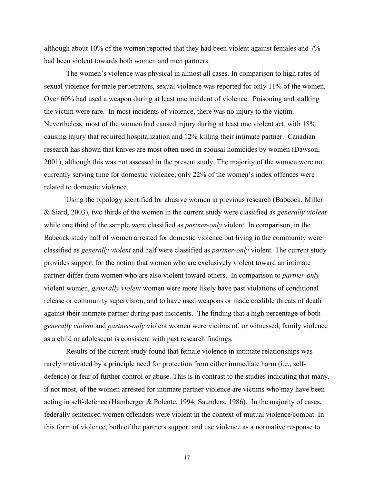although about 10% of the women reported that they had been violent against females and 7% had been violent towards both women and men partners.

The women's violence was physical in almost all cases. In comparison to high rates of sexual violence for male perpetrators, sexual violence was reported for only 11% of the women. Over 60% had used a weapon during at least one incident of violence. Poisoning and stalking the victim were rare. In most incidents of violence, there was no injury to the victim. Nevertheless, most of the women had caused injury during at least one violent act, with 18% causing injury that required hospitalization and 12% killing their intimate partner. Canadian research has shown that knives are most often used in spousal homicides by women (Dawson, 2001), although this was not assessed in the present study. The majority of the women were not currently serving time for domestic violence; only 22% of the women's index offences were related to domestic violence.

Using the typology identified for abusive women in previous research (Babcock, Miller & Siard, 2003), two thirds of the women in the current study were classified as *generally violent* while one third of the sample were classified as *partner-only* violent. In comparison, in the Babcock study half of women arrested for domestic violence but living in the community were classified as *generally violent* and half were classified as *partner-only* violent*.* The current study provides support for the notion that women who are exclusively violent toward an intimate partner differ from women who are also violent toward others. In comparison to *partner-only* violent women, *generally violent* women were more likely have past violations of conditional release or community supervision, and to have used weapons or made credible threats of death against their intimate partner during past incidents. The finding that a high percentage of both *generally violent* and *partner-only* violent women were victims of, or witnessed, family violence as a child or adolescent is consistent with past research findings.

Results of the current study found that female violence in intimate relationships was rarely motivated by a principle need for protection from either immediate harm (i.e., selfdefence) or fear of further control or abuse. This is in contrast to the studies indicating that many, if not most, of the women arrested for intimate partner violence are victims who may have been acting in self-defence (Hamberger & Polente, 1994; Saunders, 1986). In the majority of cases, federally sentenced women offenders were violent in the context of mutual violence/combat. In this form of violence, both of the partners support and use violence as a normative response to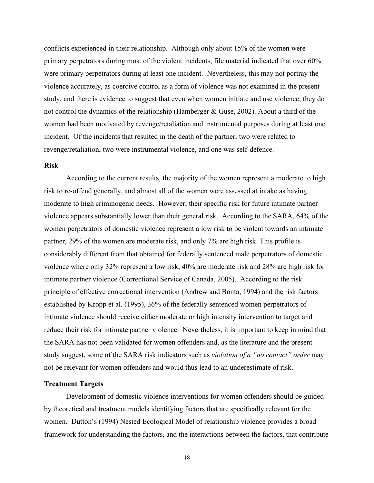conflicts experienced in their relationship. Although only about 15% of the women were primary perpetrators during most of the violent incidents, file material indicated that over 60% were primary perpetrators during at least one incident. Nevertheless, this may not portray the violence accurately, as coercive control as a form of violence was not examined in the present study, and there is evidence to suggest that even when women initiate and use violence, they do not control the dynamics of the relationship (Hamberger & Guse, 2002). About a third of the women had been motivated by revenge/retaliation and instrumental purposes during at least one incident. Of the incidents that resulted in the death of the partner, two were related to revenge/retaliation, two were instrumental violence, and one was self-defence.

#### **Risk**

According to the current results, the majority of the women represent a moderate to high risk to re-offend generally, and almost all of the women were assessed at intake as having moderate to high criminogenic needs. However, their specific risk for future intimate partner violence appears substantially lower than their general risk. According to the SARA, 64% of the women perpetrators of domestic violence represent a low risk to be violent towards an intimate partner, 29% of the women are moderate risk, and only 7% are high risk. This profile is considerably different from that obtained for federally sentenced male perpetrators of domestic violence where only 32% represent a low risk, 40% are moderate risk and 28% are high risk for intimate partner violence (Correctional Service of Canada, 2005). According to the risk principle of effective correctional intervention (Andrew and Bonta, 1994) and the risk factors established by Kropp et al. (1995), 36% of the federally sentenced women perpetrators of intimate violence should receive either moderate or high intensity intervention to target and reduce their risk for intimate partner violence. Nevertheless, it is important to keep in mind that the SARA has not been validated for women offenders and, as the literature and the present study suggest, some of the SARA risk indicators such as *violation of a "no contact" order* may not be relevant for women offenders and would thus lead to an underestimate of risk.

#### **Treatment Targets**

Development of domestic violence interventions for women offenders should be guided by theoretical and treatment models identifying factors that are specifically relevant for the women. Dutton's (1994) Nested Ecological Model of relationship violence provides a broad framework for understanding the factors, and the interactions between the factors, that contribute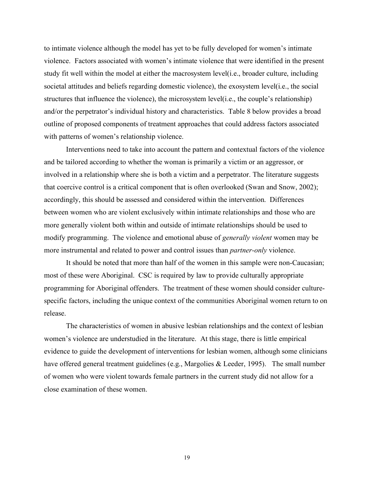to intimate violence although the model has yet to be fully developed for women's intimate violence. Factors associated with women's intimate violence that were identified in the present study fit well within the model at either the macrosystem level(i.e., broader culture, including societal attitudes and beliefs regarding domestic violence), the exosystem level(i.e., the social structures that influence the violence), the microsystem level(i.e., the couple's relationship) and/or the perpetrator's individual history and characteristics. Table 8 below provides a broad outline of proposed components of treatment approaches that could address factors associated with patterns of women's relationship violence.

Interventions need to take into account the pattern and contextual factors of the violence and be tailored according to whether the woman is primarily a victim or an aggressor, or involved in a relationship where she is both a victim and a perpetrator. The literature suggests that coercive control is a critical component that is often overlooked (Swan and Snow, 2002); accordingly, this should be assessed and considered within the intervention. Differences between women who are violent exclusively within intimate relationships and those who are more generally violent both within and outside of intimate relationships should be used to modify programming. The violence and emotional abuse of *generally violent* women may be more instrumental and related to power and control issues than *partner-only* violence.

It should be noted that more than half of the women in this sample were non-Caucasian; most of these were Aboriginal. CSC is required by law to provide culturally appropriate programming for Aboriginal offenders. The treatment of these women should consider culturespecific factors, including the unique context of the communities Aboriginal women return to on release.

The characteristics of women in abusive lesbian relationships and the context of lesbian women's violence are understudied in the literature. At this stage, there is little empirical evidence to guide the development of interventions for lesbian women, although some clinicians have offered general treatment guidelines (e.g., Margolies & Leeder, 1995). The small number of women who were violent towards female partners in the current study did not allow for a close examination of these women.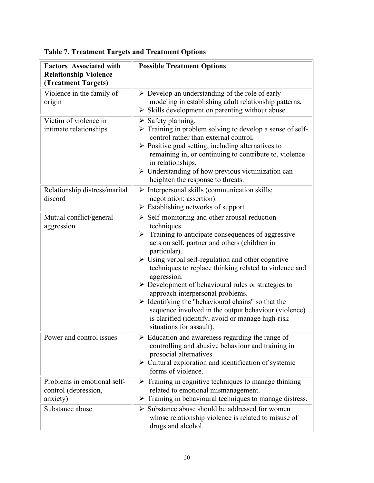| <b>Factors Associated with</b>                                  | <b>Possible Treatment Options</b>                                                                                                                                                                                                                                                                                                                                                                                                                                                                                                                                                                                                                                                        |
|-----------------------------------------------------------------|------------------------------------------------------------------------------------------------------------------------------------------------------------------------------------------------------------------------------------------------------------------------------------------------------------------------------------------------------------------------------------------------------------------------------------------------------------------------------------------------------------------------------------------------------------------------------------------------------------------------------------------------------------------------------------------|
| <b>Relationship Violence</b><br>(Treatment Targets)             |                                                                                                                                                                                                                                                                                                                                                                                                                                                                                                                                                                                                                                                                                          |
| Violence in the family of<br>origin                             | $\triangleright$ Develop an understanding of the role of early<br>modeling in establishing adult relationship patterns.<br>$\triangleright$ Skills development on parenting without abuse.                                                                                                                                                                                                                                                                                                                                                                                                                                                                                               |
| Victim of violence in<br>intimate relationships                 | $\triangleright$ Safety planning.<br>> Training in problem solving to develop a sense of self-<br>control rather than external control.<br>$\triangleright$ Positive goal setting, including alternatives to<br>remaining in, or continuing to contribute to, violence<br>in relationships.<br>$\triangleright$ Understanding of how previous victimization can<br>heighten the response to threats.                                                                                                                                                                                                                                                                                     |
| Relationship distress/marital<br>discord                        | $\triangleright$ Interpersonal skills (communication skills;<br>negotiation; assertion).<br>$\triangleright$ Establishing networks of support.                                                                                                                                                                                                                                                                                                                                                                                                                                                                                                                                           |
| Mutual conflict/general<br>aggression                           | $\triangleright$ Self-monitoring and other arousal reduction<br>techniques.<br>$\triangleright$ Training to anticipate consequences of aggressive<br>acts on self, partner and others (children in<br>particular).<br>$\triangleright$ Using verbal self-regulation and other cognitive<br>techniques to replace thinking related to violence and<br>aggression.<br>$\triangleright$ Development of behavioural rules or strategies to<br>approach interpersonal problems.<br>$\triangleright$ Identifying the "behavioural chains" so that the<br>sequence involved in the output behaviour (violence)<br>is clarified (identify, avoid or manage high-risk<br>situations for assault). |
| Power and control issues                                        | $\triangleright$ Education and awareness regarding the range of<br>controlling and abusive behaviour and training in<br>prosocial alternatives.<br>$\triangleright$ Cultural exploration and identification of systemic<br>forms of violence.                                                                                                                                                                                                                                                                                                                                                                                                                                            |
| Problems in emotional self-<br>control (depression,<br>anxiety) | $\triangleright$ Training in cognitive techniques to manage thinking<br>related to emotional mismanagement.<br>$\triangleright$ Training in behavioural techniques to manage distress.                                                                                                                                                                                                                                                                                                                                                                                                                                                                                                   |
| Substance abuse                                                 | $\triangleright$ Substance abuse should be addressed for women<br>whose relationship violence is related to misuse of<br>drugs and alcohol.                                                                                                                                                                                                                                                                                                                                                                                                                                                                                                                                              |

# **Table 7. Treatment Targets and Treatment Options**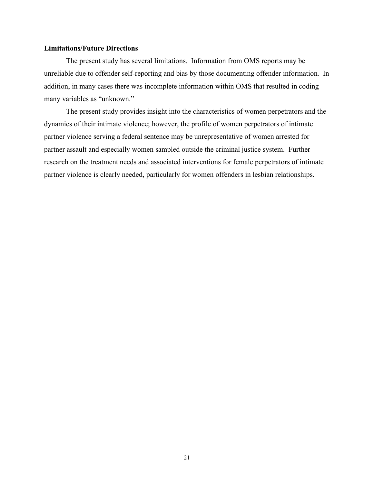#### **Limitations/Future Directions**

The present study has several limitations. Information from OMS reports may be unreliable due to offender self-reporting and bias by those documenting offender information. In addition, in many cases there was incomplete information within OMS that resulted in coding many variables as "unknown."

The present study provides insight into the characteristics of women perpetrators and the dynamics of their intimate violence; however, the profile of women perpetrators of intimate partner violence serving a federal sentence may be unrepresentative of women arrested for partner assault and especially women sampled outside the criminal justice system. Further research on the treatment needs and associated interventions for female perpetrators of intimate partner violence is clearly needed, particularly for women offenders in lesbian relationships.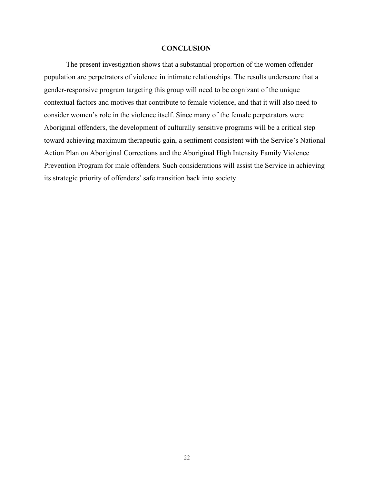#### **CONCLUSION**

The present investigation shows that a substantial proportion of the women offender population are perpetrators of violence in intimate relationships. The results underscore that a gender-responsive program targeting this group will need to be cognizant of the unique contextual factors and motives that contribute to female violence, and that it will also need to consider women's role in the violence itself. Since many of the female perpetrators were Aboriginal offenders, the development of culturally sensitive programs will be a critical step toward achieving maximum therapeutic gain, a sentiment consistent with the Service's National Action Plan on Aboriginal Corrections and the Aboriginal High Intensity Family Violence Prevention Program for male offenders. Such considerations will assist the Service in achieving its strategic priority of offenders' safe transition back into society.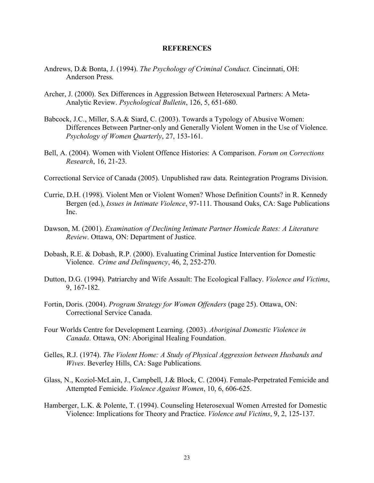#### **REFERENCES**

- Andrews, D.& Bonta, J. (1994). *The Psychology of Criminal Conduct*. Cincinnati, OH: Anderson Press.
- Archer, J. (2000). Sex Differences in Aggression Between Heterosexual Partners: A Meta-Analytic Review. *Psychological Bulletin*, 126, 5, 651-680.
- Babcock, J.C., Miller, S.A.& Siard, C. (2003). Towards a Typology of Abusive Women: Differences Between Partner-only and Generally Violent Women in the Use of Violence. *Psychology of Women Quarterly*, 27, 153-161.
- Bell, A. (2004). Women with Violent Offence Histories: A Comparison. *Forum on Corrections Research*, 16, 21-23.
- Correctional Service of Canada (2005). Unpublished raw data. Reintegration Programs Division.
- Currie, D.H. (1998). Violent Men or Violent Women? Whose Definition Counts? in R. Kennedy Bergen (ed.), *Issues in Intimate Violence*, 97-111. Thousand Oaks, CA: Sage Publications Inc.
- Dawson, M. (2001). *Examination of Declining Intimate Partner Homicde Rates: A Literature Review*. Ottawa, ON: Department of Justice.
- Dobash, R.E. & Dobash, R.P. (2000). Evaluating Criminal Justice Intervention for Domestic Violence. *Crime and Delinquency*, 46, 2, 252-270.
- Dutton, D.G. (1994). Patriarchy and Wife Assault: The Ecological Fallacy. *Violence and Victims*, 9, 167-182.
- Fortin, Doris. (2004). *Program Strategy for Women Offenders* (page 25). Ottawa, ON: Correctional Service Canada.
- Four Worlds Centre for Development Learning. (2003). *Aboriginal Domestic Violence in Canada*. Ottawa, ON: Aboriginal Healing Foundation.
- Gelles, R.J. (1974). *The Violent Home: A Study of Physical Aggression between Husbands and Wives*. Beverley Hills, CA: Sage Publications.
- Glass, N., Koziol-McLain, J., Campbell, J.& Block, C. (2004). Female-Perpetrated Femicide and Attempted Femicide. *Violence Against Women*, 10, 6, 606-625.
- Hamberger, L.K. & Polente, T. (1994). Counseling Heterosexual Women Arrested for Domestic Violence: Implications for Theory and Practice. *Violence and Victims*, 9, 2, 125-137.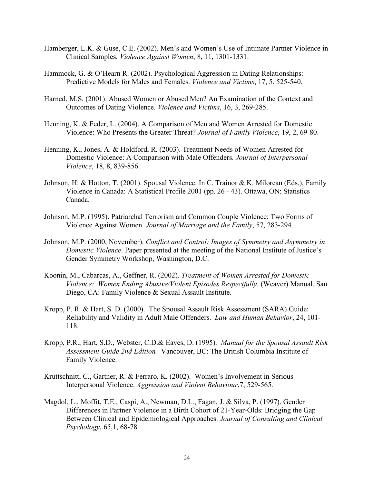- Hamberger, L.K. & Guse, C.E. (2002). Men's and Women's Use of Intimate Partner Violence in Clinical Samples. *Violence Against Women*, 8, 11, 1301-1331.
- Hammock, G. & O'Hearn R. (2002). Psychological Aggression in Dating Relationships: Predictive Models for Males and Females. *Violence and Victims*, 17, 5, 525-540.
- Harned, M.S. (2001). Abused Women or Abused Men? An Examination of the Context and Outcomes of Dating Violence. *Violence and Victims*, 16, 3, 269-285.
- Henning, K. & Feder, L. (2004). A Comparison of Men and Women Arrested for Domestic Violence: Who Presents the Greater Threat? *Journal of Family Violence*, 19, 2, 69-80.
- Henning, K., Jones, A. & Holdford, R. (2003). Treatment Needs of Women Arrested for Domestic Violence: A Comparison with Male Offenders. *Journal of Interpersonal Violence*, 18, 8, 839-856.
- Johnson, H. & Hotton, T. (2001). Spousal Violence. In C. Trainor & K. Milorean (Eds.), Family Violence in Canada: A Statistical Profile 2001 (pp. 26 - 43). Ottawa, ON: Statistics Canada.
- Johnson, M.P. (1995). Patriarchal Terrorism and Common Couple Violence: Two Forms of Violence Against Women*. Journal of Marriage and the Family*, 57, 283-294.
- Johnson, M.P. (2000, November). *Conflict and Control: Images of Symmetry and Asymmetry in Domestic Violence*. Paper presented at the meeting of the National Institute of Justice's Gender Symmetry Workshop, Washington, D.C.
- Koonin, M., Cabarcas, A., Geffner, R. (2002). *Treatment of Women Arrested for Domestic Violence: Women Ending Abusive/Violent Episodes Respectfully.* (Weaver) Manual. San Diego, CA: Family Violence & Sexual Assault Institute.
- Kropp, P. R. & Hart, S. D. (2000). The Spousal Assault Risk Assessment (SARA) Guide: Reliability and Validity in Adult Male Offenders. *Law and Human Behavior*, 24, 101- 118.
- Kropp, P.R., Hart, S.D., Webster, C.D.& Eaves, D. (1995). *Manual for the Spousal Assault Risk Assessment Guide 2nd Edition.* Vancouver, BC: The British Columbia Institute of Family Violence.
- Kruttschnitt, C., Gartner, R. & Ferraro, K. (2002). Women's Involvement in Serious Interpersonal Violence. *Aggression and Violent Behaviour*,7, 529-565.
- Magdol, L., Moffit, T.E., Caspi, A., Newman, D.L., Fagan, J. & Silva, P. (1997). Gender Differences in Partner Violence in a Birth Cohort of 21-Year-Olds: Bridging the Gap Between Clinical and Epidemiological Approaches. *Journal of Consulting and Clinical Psychology*, 65,1, 68-78.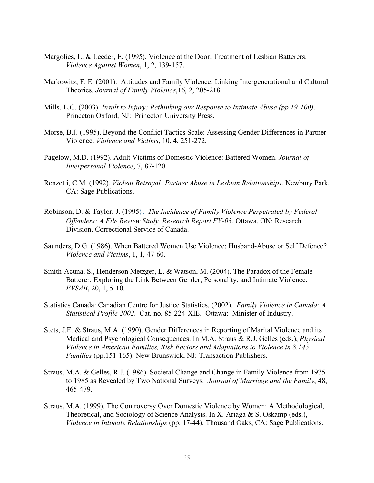- Margolies, L. & Leeder, E. (1995). Violence at the Door: Treatment of Lesbian Batterers. *Violence Against Women*, 1, 2, 139-157.
- Markowitz, F. E. (2001). Attitudes and Family Violence: Linking Intergenerational and Cultural Theories. *Journal of Family Violence*,16, 2, 205-218.
- Mills, L.G. (2003). *Insult to Injury: Rethinking our Response to Intimate Abuse (pp.19-100)*. Princeton Oxford, NJ: Princeton University Press.
- Morse, B.J. (1995). Beyond the Conflict Tactics Scale: Assessing Gender Differences in Partner Violence. *Violence and Victims*, 10, 4, 251-272.
- Pagelow, M.D. (1992). Adult Victims of Domestic Violence: Battered Women. *Journal of Interpersonal Violence*, 7, 87-120.
- Renzetti, C.M. (1992). *Violent Betrayal: Partner Abuse in Lesbian Relationships*. Newbury Park, CA: Sage Publications.
- Robinson, D. & Taylor, J. (1995). *The Incidence of Family Violence Perpetrated by Federal Offenders: A File Review Study. Research Report FV-03*. Ottawa, ON: Research Division, Correctional Service of Canada.
- Saunders, D.G. (1986). When Battered Women Use Violence: Husband-Abuse or Self Defence? *Violence and Victims*, 1, 1, 47-60.
- Smith-Acuna, S., Henderson Metzger, L. & Watson, M. (2004). The Paradox of the Female Batterer: Exploring the Link Between Gender, Personality, and Intimate Violence. *FVSAB*, 20, 1, 5-10.
- Statistics Canada: Canadian Centre for Justice Statistics. (2002). *Family Violence in Canada: A Statistical Profile 2002*. Cat. no. 85-224-XIE. Ottawa: Minister of Industry.
- Stets, J.E. & Straus, M.A. (1990). Gender Differences in Reporting of Marital Violence and its Medical and Psychological Consequences. In M.A. Straus & R.J. Gelles (eds.), *Physical Violence in American Families, Risk Factors and Adaptations to Violence in 8,145 Families* (pp.151-165). New Brunswick, NJ: Transaction Publishers.
- Straus, M.A. & Gelles, R.J. (1986). Societal Change and Change in Family Violence from 1975 to 1985 as Revealed by Two National Surveys. *Journal of Marriage and the Family*, 48, 465-479.
- Straus, M.A. (1999). The Controversy Over Domestic Violence by Women: A Methodological, Theoretical, and Sociology of Science Analysis. In X. Ariaga & S. Oskamp (eds.), *Violence in Intimate Relationships* (pp. 17-44). Thousand Oaks, CA: Sage Publications.